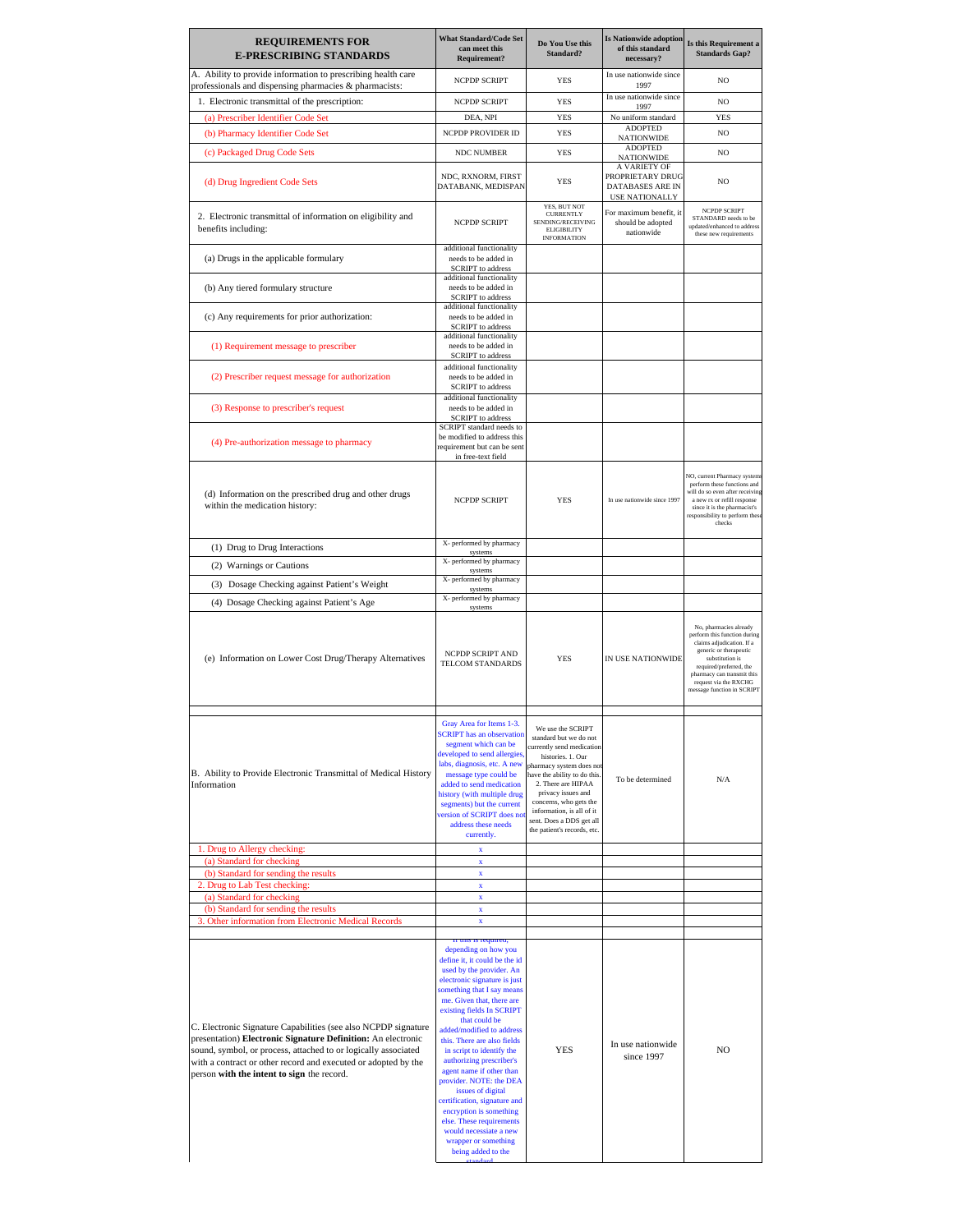| <b>REQUIREMENTS FOR</b><br><b>E-PRESCRIBING STANDARDS</b>                                                                                                                                                                                                                                                        | <b>What Standard/Code Set</b><br>can meet this<br>Requirement?                                                                                                                                                                                                                                                                                                                                                                                                                                                                                                     | Do You Use this<br>Standard?                                                                                                                                                                                                                                                                                           | <b>Is Nationwide adoption</b><br>of this standard<br>necessary?               | Is this Requirement a<br><b>Standards Gap?</b>                                                                                                                                                                                                   |
|------------------------------------------------------------------------------------------------------------------------------------------------------------------------------------------------------------------------------------------------------------------------------------------------------------------|--------------------------------------------------------------------------------------------------------------------------------------------------------------------------------------------------------------------------------------------------------------------------------------------------------------------------------------------------------------------------------------------------------------------------------------------------------------------------------------------------------------------------------------------------------------------|------------------------------------------------------------------------------------------------------------------------------------------------------------------------------------------------------------------------------------------------------------------------------------------------------------------------|-------------------------------------------------------------------------------|--------------------------------------------------------------------------------------------------------------------------------------------------------------------------------------------------------------------------------------------------|
| A. Ability to provide information to prescribing health care<br>professionals and dispensing pharmacies & pharmacists:                                                                                                                                                                                           | NCPDP SCRIPT                                                                                                                                                                                                                                                                                                                                                                                                                                                                                                                                                       | <b>YES</b>                                                                                                                                                                                                                                                                                                             | In use nationwide since<br>1997                                               | N <sub>O</sub>                                                                                                                                                                                                                                   |
| 1. Electronic transmittal of the prescription:                                                                                                                                                                                                                                                                   | NCPDP SCRIPT                                                                                                                                                                                                                                                                                                                                                                                                                                                                                                                                                       | <b>YES</b>                                                                                                                                                                                                                                                                                                             | In use nationwide since<br>1997                                               | NO                                                                                                                                                                                                                                               |
| (a) Prescriber Identifier Code Set                                                                                                                                                                                                                                                                               | DEA, NPI                                                                                                                                                                                                                                                                                                                                                                                                                                                                                                                                                           | <b>YES</b>                                                                                                                                                                                                                                                                                                             | No uniform standard                                                           | YES                                                                                                                                                                                                                                              |
| (b) Pharmacy Identifier Code Set                                                                                                                                                                                                                                                                                 | NCPDP PROVIDER ID                                                                                                                                                                                                                                                                                                                                                                                                                                                                                                                                                  | <b>YES</b>                                                                                                                                                                                                                                                                                                             | <b>ADOPTED</b><br><b>NATIONWIDE</b>                                           | NO                                                                                                                                                                                                                                               |
| (c) Packaged Drug Code Sets                                                                                                                                                                                                                                                                                      | NDC NUMBER                                                                                                                                                                                                                                                                                                                                                                                                                                                                                                                                                         | YES                                                                                                                                                                                                                                                                                                                    | <b>ADOPTED</b><br><b>NATIONWIDE</b>                                           | N <sub>O</sub>                                                                                                                                                                                                                                   |
| (d) Drug Ingredient Code Sets                                                                                                                                                                                                                                                                                    | NDC, RXNORM, FIRST<br>DATABANK, MEDISPAN                                                                                                                                                                                                                                                                                                                                                                                                                                                                                                                           | <b>YES</b>                                                                                                                                                                                                                                                                                                             | A VARIETY OF<br>PROPRIETARY DRUG<br>DATABASES ARE IN<br><b>USE NATIONALLY</b> | NO                                                                                                                                                                                                                                               |
| 2. Electronic transmittal of information on eligibility and<br>benefits including:                                                                                                                                                                                                                               | NCPDP SCRIPT                                                                                                                                                                                                                                                                                                                                                                                                                                                                                                                                                       | YES, BUT NOT<br><b>CURRENTLY</b><br>SENDING/RECEIVING<br><b>ELIGIBILITY</b><br><b>INFORMATION</b>                                                                                                                                                                                                                      | For maximum benefit, it<br>should be adopted<br>nationwide                    | <b>NCPDP SCRIPT</b><br>STANDARD needs to be<br>updated/enhanced to address<br>these new requirements                                                                                                                                             |
| (a) Drugs in the applicable formulary                                                                                                                                                                                                                                                                            | additional functionality<br>needs to be added in<br><b>SCRIPT</b> to address                                                                                                                                                                                                                                                                                                                                                                                                                                                                                       |                                                                                                                                                                                                                                                                                                                        |                                                                               |                                                                                                                                                                                                                                                  |
| (b) Any tiered formulary structure                                                                                                                                                                                                                                                                               | additional functionality<br>needs to be added in<br><b>SCRIPT</b> to address                                                                                                                                                                                                                                                                                                                                                                                                                                                                                       |                                                                                                                                                                                                                                                                                                                        |                                                                               |                                                                                                                                                                                                                                                  |
| (c) Any requirements for prior authorization:                                                                                                                                                                                                                                                                    | additional functionality<br>needs to be added in<br><b>SCRIPT</b> to address                                                                                                                                                                                                                                                                                                                                                                                                                                                                                       |                                                                                                                                                                                                                                                                                                                        |                                                                               |                                                                                                                                                                                                                                                  |
| (1) Requirement message to prescriber                                                                                                                                                                                                                                                                            | additional functionality<br>needs to be added in<br><b>SCRIPT</b> to address                                                                                                                                                                                                                                                                                                                                                                                                                                                                                       |                                                                                                                                                                                                                                                                                                                        |                                                                               |                                                                                                                                                                                                                                                  |
| (2) Prescriber request message for authorization                                                                                                                                                                                                                                                                 | additional functionality<br>needs to be added in<br><b>SCRIPT</b> to address                                                                                                                                                                                                                                                                                                                                                                                                                                                                                       |                                                                                                                                                                                                                                                                                                                        |                                                                               |                                                                                                                                                                                                                                                  |
| (3) Response to prescriber's request                                                                                                                                                                                                                                                                             | additional functionality<br>needs to be added in<br><b>SCRIPT</b> to address                                                                                                                                                                                                                                                                                                                                                                                                                                                                                       |                                                                                                                                                                                                                                                                                                                        |                                                                               |                                                                                                                                                                                                                                                  |
|                                                                                                                                                                                                                                                                                                                  | SCRIPT standard needs to                                                                                                                                                                                                                                                                                                                                                                                                                                                                                                                                           |                                                                                                                                                                                                                                                                                                                        |                                                                               |                                                                                                                                                                                                                                                  |
| (4) Pre-authorization message to pharmacy                                                                                                                                                                                                                                                                        | be modified to address this<br>requirement but can be sent                                                                                                                                                                                                                                                                                                                                                                                                                                                                                                         |                                                                                                                                                                                                                                                                                                                        |                                                                               |                                                                                                                                                                                                                                                  |
| (d) Information on the prescribed drug and other drugs<br>within the medication history:                                                                                                                                                                                                                         | in free-text field<br><b>NCPDP SCRIPT</b>                                                                                                                                                                                                                                                                                                                                                                                                                                                                                                                          | <b>YES</b>                                                                                                                                                                                                                                                                                                             | In use nationwide since 1997                                                  | NO, current Pharmacy system<br>perform these functions and<br>will do so even after receiving<br>a new rx or refill response<br>since it is the pharmacist's<br>responsibility to perform thes<br>checks                                         |
| (1) Drug to Drug Interactions                                                                                                                                                                                                                                                                                    | X- performed by pharmacy<br>systems                                                                                                                                                                                                                                                                                                                                                                                                                                                                                                                                |                                                                                                                                                                                                                                                                                                                        |                                                                               |                                                                                                                                                                                                                                                  |
| (2) Warnings or Cautions                                                                                                                                                                                                                                                                                         | X- performed by pharmacy                                                                                                                                                                                                                                                                                                                                                                                                                                                                                                                                           |                                                                                                                                                                                                                                                                                                                        |                                                                               |                                                                                                                                                                                                                                                  |
| (3) Dosage Checking against Patient's Weight                                                                                                                                                                                                                                                                     | systems<br>X- performed by pharmacy                                                                                                                                                                                                                                                                                                                                                                                                                                                                                                                                |                                                                                                                                                                                                                                                                                                                        |                                                                               |                                                                                                                                                                                                                                                  |
| (4) Dosage Checking against Patient's Age                                                                                                                                                                                                                                                                        | systems<br>X- performed by pharmacy                                                                                                                                                                                                                                                                                                                                                                                                                                                                                                                                |                                                                                                                                                                                                                                                                                                                        |                                                                               |                                                                                                                                                                                                                                                  |
| (e) Information on Lower Cost Drug/Therapy Alternatives                                                                                                                                                                                                                                                          | NCPDP SCRIPT AND<br>TELCOM STANDARDS                                                                                                                                                                                                                                                                                                                                                                                                                                                                                                                               | <b>YES</b>                                                                                                                                                                                                                                                                                                             | IN USE NATIONWIDE                                                             | No, pharmacies already<br>perform this function during<br>claims adjudication. If a<br>generic or therapeutic<br>substitution is<br>required/preferred, the<br>pharmacy can transmit this<br>request via the RXCHG<br>message function in SCRIPT |
| B. Ability to Provide Electronic Transmittal of Medical History<br>Information<br>1. Drug to Allergy checking:                                                                                                                                                                                                   | Gray Area for Items 1-3.<br>SCRIPT has an observation<br>segment which can be<br>developed to send allergies<br>labs, diagnosis, etc. A new<br>message type could be<br>added to send medication<br>history (with multiple drug<br>segments) but the current<br>version of SCRIPT does not<br>address these needs<br>currently.<br>x                                                                                                                                                                                                                               | We use the SCRIPT<br>standard but we do not<br>currently send medication<br>histories. 1. Our<br>pharmacy system does not<br>have the ability to do this<br>2. There are HIPAA<br>privacy issues and<br>concerns, who gets the<br>information, is all of it<br>sent. Does a DDS get all<br>the patient's records, etc. | To be determined                                                              | N/A                                                                                                                                                                                                                                              |
| (a) Standard for checking                                                                                                                                                                                                                                                                                        | $\mathbf x$                                                                                                                                                                                                                                                                                                                                                                                                                                                                                                                                                        |                                                                                                                                                                                                                                                                                                                        |                                                                               |                                                                                                                                                                                                                                                  |
| (b) Standard for sending the results<br>2. Drug to Lab Test checking:                                                                                                                                                                                                                                            | $\mathbf x$<br>$\mathbf x$                                                                                                                                                                                                                                                                                                                                                                                                                                                                                                                                         |                                                                                                                                                                                                                                                                                                                        |                                                                               |                                                                                                                                                                                                                                                  |
| (a) Standard for checking                                                                                                                                                                                                                                                                                        | $\mathbf x$                                                                                                                                                                                                                                                                                                                                                                                                                                                                                                                                                        |                                                                                                                                                                                                                                                                                                                        |                                                                               |                                                                                                                                                                                                                                                  |
| (b) Standard for sending the results                                                                                                                                                                                                                                                                             | x                                                                                                                                                                                                                                                                                                                                                                                                                                                                                                                                                                  |                                                                                                                                                                                                                                                                                                                        |                                                                               |                                                                                                                                                                                                                                                  |
| 3. Other information from Electronic Medical Records                                                                                                                                                                                                                                                             | x                                                                                                                                                                                                                                                                                                                                                                                                                                                                                                                                                                  |                                                                                                                                                                                                                                                                                                                        |                                                                               |                                                                                                                                                                                                                                                  |
| C. Electronic Signature Capabilities (see also NCPDP signature<br>presentation) Electronic Signature Definition: An electronic<br>sound, symbol, or process, attached to or logically associated<br>with a contract or other record and executed or adopted by the<br>person with the intent to sign the record. | n uns is required,<br>depending on how you<br>define it, it could be the id<br>used by the provider. An<br>electronic signature is just<br>something that I say means<br>me. Given that, there are<br>existing fields In SCRIPT<br>that could be<br>added/modified to address<br>this. There are also fields<br>in script to identify the<br>authorizing prescriber's<br>agent name if other than<br>provider. NOTE: the DEA<br>issues of digital<br>certification, signature and<br>encryption is something<br>else. These requirements<br>would necessiate a new | <b>YES</b>                                                                                                                                                                                                                                                                                                             | In use nationwide<br>since 1997                                               | NO                                                                                                                                                                                                                                               |